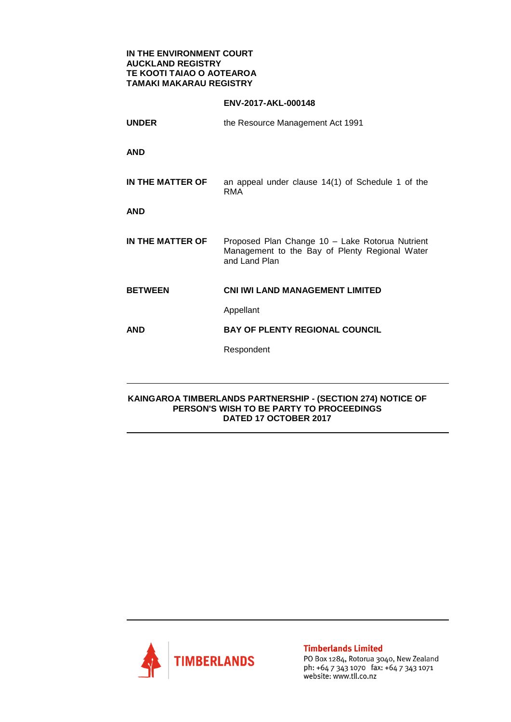## **IN THE ENVIRONMENT COURT AUCKLAND REGISTRY TE KOOTI TAIAO O AOTEAROA TAMAKI MAKARAU REGISTRY**

## **ENV-2017-AKL-000148**

| <b>UNDER</b>     | the Resource Management Act 1991                                                                                   |
|------------------|--------------------------------------------------------------------------------------------------------------------|
| AND              |                                                                                                                    |
| IN THE MATTER OF | an appeal under clause 14(1) of Schedule 1 of the<br><b>RMA</b>                                                    |
| AND              |                                                                                                                    |
| IN THE MATTER OF | Proposed Plan Change 10 - Lake Rotorua Nutrient<br>Management to the Bay of Plenty Regional Water<br>and Land Plan |
| <b>BETWEEN</b>   | <b>CNI IWI LAND MANAGEMENT LIMITED</b>                                                                             |
|                  | Appellant                                                                                                          |
| AND              | <b>BAY OF PLENTY REGIONAL COUNCIL</b>                                                                              |
|                  | Respondent                                                                                                         |
|                  |                                                                                                                    |

## **KAINGAROA TIMBERLANDS PARTNERSHIP - (SECTION 274) NOTICE OF PERSON'S WISH TO BE PARTY TO PROCEEDINGS DATED 17 OCTOBER 2017**



**Timberlands Limited** 

PO Box 1284, Rotorua 3040, New Zealand ph: +64 7 343 1070 fax: +64 7 343 1071 website: www.tll.co.nz